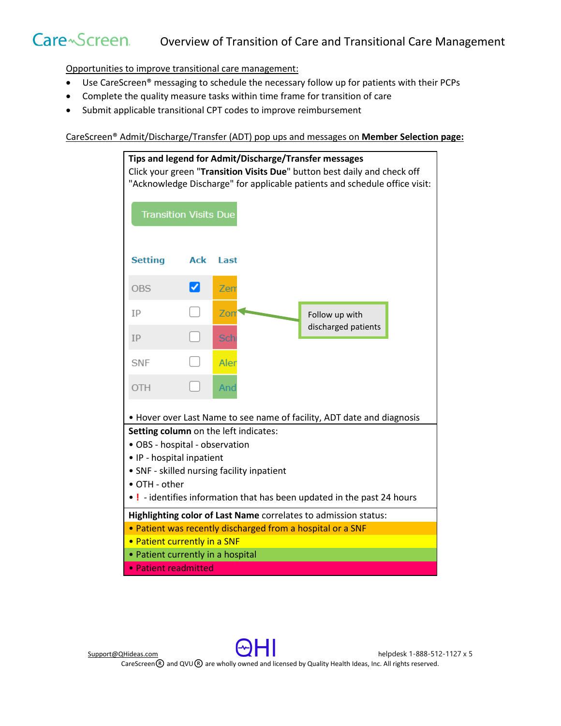## Care~Screen. Overview of Transition of Care and Transitional Care Management

Opportunities to improve transitional care management:

- Use CareScreen® messaging to schedule the necessary follow up for patients with their PCPs
- Complete the quality measure tasks within time frame for transition of care
- Submit applicable transitional CPT codes to improve reimbursement

CareScreen® Admit/Discharge/Transfer (ADT) pop ups and messages on **Member Selection page:**



[Support@QHideas.com](mailto:Support@QHideas.com) **helpdesk 1-888-512-1127 x 5**